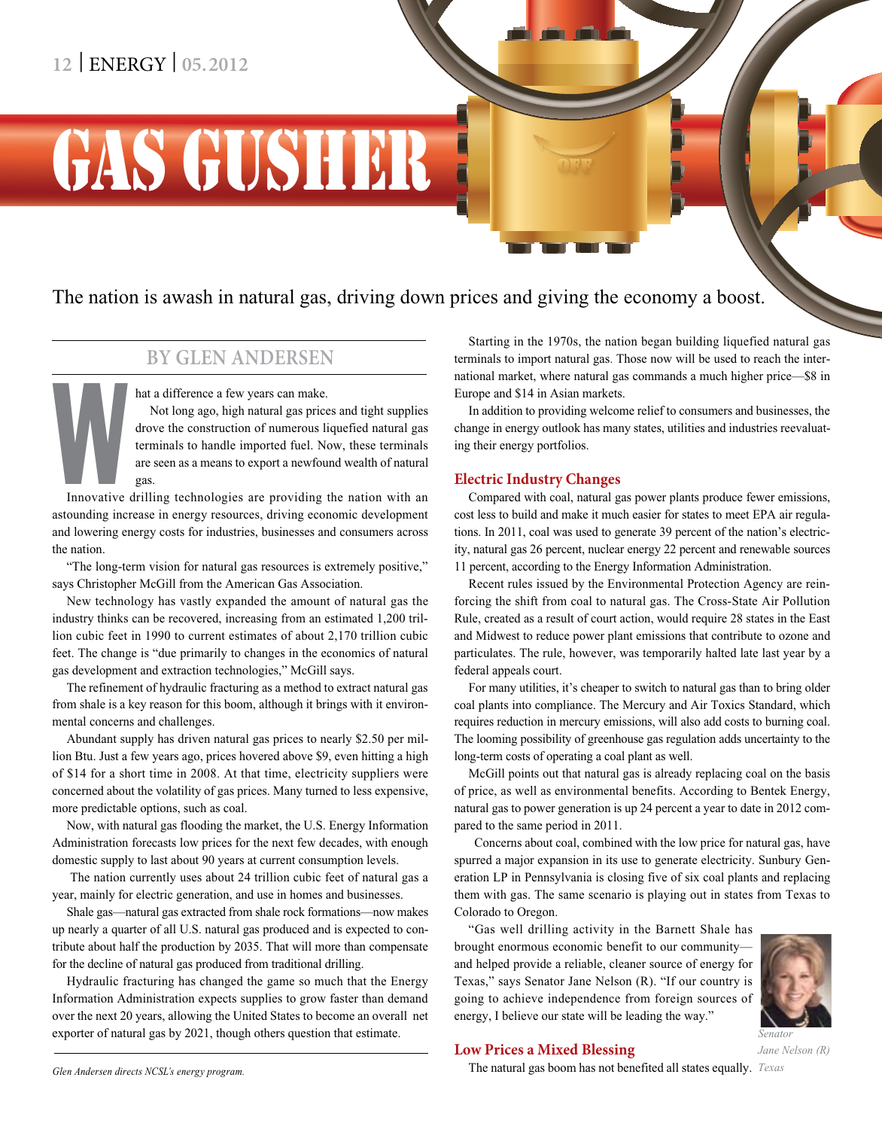## **12** | ENERGY | **05.2012**

# GAS GUSHER

## The nation is awash in natural gas, driving down prices and giving the economy a boost.

## **By Glen Andersen**

hat a difference a few years can make.

Not long ago, high natural gas prices and tight supplies drove the construction of numerous liquefied natural gas terminals to handle imported fuel. Now, these terminals are seen as a means to export a newfound wealth of natural gas.

Innovative<br>
steunding in Innovative drilling technologies are providing the nation with an astounding increase in energy resources, driving economic development and lowering energy costs for industries, businesses and consumers across the nation.

"The long-term vision for natural gas resources is extremely positive," says Christopher McGill from the American Gas Association.

New technology has vastly expanded the amount of natural gas the industry thinks can be recovered, increasing from an estimated 1,200 trillion cubic feet in 1990 to current estimates of about 2,170 trillion cubic feet. The change is "due primarily to changes in the economics of natural gas development and extraction technologies," McGill says.

The refinement of hydraulic fracturing as a method to extract natural gas from shale is a key reason for this boom, although it brings with it environmental concerns and challenges.

Abundant supply has driven natural gas prices to nearly \$2.50 per million Btu. Just a few years ago, prices hovered above \$9, even hitting a high of \$14 for a short time in 2008. At that time, electricity suppliers were concerned about the volatility of gas prices. Many turned to less expensive, more predictable options, such as coal.

Now, with natural gas flooding the market, the U.S. Energy Information Administration forecasts low prices for the next few decades, with enough domestic supply to last about 90 years at current consumption levels.

 The nation currently uses about 24 trillion cubic feet of natural gas a year, mainly for electric generation, and use in homes and businesses.

Shale gas—natural gas extracted from shale rock formations—now makes up nearly a quarter of all U.S. natural gas produced and is expected to contribute about half the production by 2035. That will more than compensate for the decline of natural gas produced from traditional drilling.

Hydraulic fracturing has changed the game so much that the Energy Information Administration expects supplies to grow faster than demand over the next 20 years, allowing the United States to become an overall net exporter of natural gas by 2021, though others question that estimate.

Starting in the 1970s, the nation began building liquefied natural gas terminals to import natural gas. Those now will be used to reach the international market, where natural gas commands a much higher price—\$8 in Europe and \$14 in Asian markets.

In addition to providing welcome relief to consumers and businesses, the change in energy outlook has many states, utilities and industries reevaluating their energy portfolios.

## **Electric Industry Changes**

Compared with coal, natural gas power plants produce fewer emissions, cost less to build and make it much easier for states to meet EPA air regulations. In 2011, coal was used to generate 39 percent of the nation's electricity, natural gas 26 percent, nuclear energy 22 percent and renewable sources 11 percent, according to the Energy Information Administration.

Recent rules issued by the Environmental Protection Agency are reinforcing the shift from coal to natural gas. The Cross-State Air Pollution Rule, created as a result of court action, would require 28 states in the East and Midwest to reduce power plant emissions that contribute to ozone and particulates. The rule, however, was temporarily halted late last year by a federal appeals court.

For many utilities, it's cheaper to switch to natural gas than to bring older coal plants into compliance. The Mercury and Air Toxics Standard, which requires reduction in mercury emissions, will also add costs to burning coal. The looming possibility of greenhouse gas regulation adds uncertainty to the long-term costs of operating a coal plant as well.

McGill points out that natural gas is already replacing coal on the basis of price, as well as environmental benefits. According to Bentek Energy, natural gas to power generation is up 24 percent a year to date in 2012 compared to the same period in 2011.

 Concerns about coal, combined with the low price for natural gas, have spurred a major expansion in its use to generate electricity. Sunbury Generation LP in Pennsylvania is closing five of six coal plants and replacing them with gas. The same scenario is playing out in states from Texas to Colorado to Oregon.

"Gas well drilling activity in the Barnett Shale has brought enormous economic benefit to our community and helped provide a reliable, cleaner source of energy for Texas," says Senator Jane Nelson (R). "If our country is going to achieve independence from foreign sources of energy, I believe our state will be leading the way."



## **Low Prices a Mixed Blessing**

*Jane Nelson (R)*

*Senator*

The natural gas boom has not benefited all states equally. *Texas*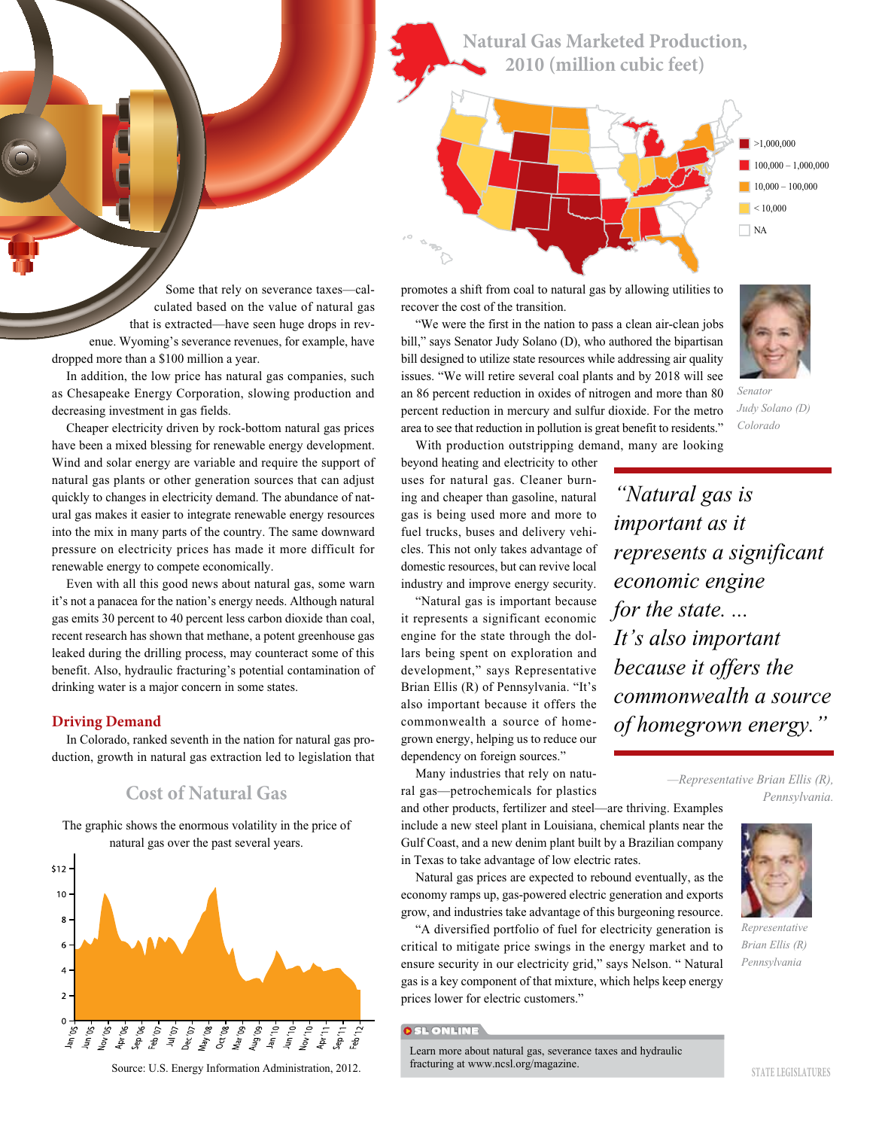**Natural Gas Marketed Production, 2010 (million cubic feet)**



Some that rely on severance taxes—calculated based on the value of natural gas that is extracted—have seen huge drops in revenue. Wyoming's severance revenues, for example, have dropped more than a \$100 million a year.

In addition, the low price has natural gas companies, such as Chesapeake Energy Corporation, slowing production and decreasing investment in gas fields.

Cheaper electricity driven by rock-bottom natural gas prices have been a mixed blessing for renewable energy development. Wind and solar energy are variable and require the support of natural gas plants or other generation sources that can adjust quickly to changes in electricity demand. The abundance of natural gas makes it easier to integrate renewable energy resources into the mix in many parts of the country. The same downward pressure on electricity prices has made it more difficult for renewable energy to compete economically.

Even with all this good news about natural gas, some warn it's not a panacea for the nation's energy needs. Although natural gas emits 30 percent to 40 percent less carbon dioxide than coal, recent research has shown that methane, a potent greenhouse gas leaked during the drilling process, may counteract some of this benefit. Also, hydraulic fracturing's potential contamination of drinking water is a major concern in some states.

#### **Driving Demand**

In Colorado, ranked seventh in the nation for natural gas production, growth in natural gas extraction led to legislation that

## **Cost of Natural Gas**

The graphic shows the enormous volatility in the price of natural gas over the past several years.



Source: U.S. Energy Information Administration, 2012.

promotes a shift from coal to natural gas by allowing utilities to recover the cost of the transition.

"We were the first in the nation to pass a clean air-clean jobs bill," says Senator Judy Solano (D), who authored the bipartisan bill designed to utilize state resources while addressing air quality issues. "We will retire several coal plants and by 2018 will see an 86 percent reduction in oxides of nitrogen and more than 80 percent reduction in mercury and sulfur dioxide. For the metro area to see that reduction in pollution is great benefit to residents."



*Senator Judy Solano (D) Colorado*

With production outstripping demand, many are looking

beyond heating and electricity to other uses for natural gas. Cleaner burning and cheaper than gasoline, natural gas is being used more and more to fuel trucks, buses and delivery vehicles. This not only takes advantage of domestic resources, but can revive local industry and improve energy security.

"Natural gas is important because it represents a significant economic engine for the state through the dollars being spent on exploration and development," says Representative Brian Ellis (R) of Pennsylvania. "It's also important because it offers the commonwealth a source of homegrown energy, helping us to reduce our dependency on foreign sources."

Many industries that rely on natural gas—petrochemicals for plastics

and other products, fertilizer and steel—are thriving. Examples include a new steel plant in Louisiana, chemical plants near the Gulf Coast, and a new denim plant built by a Brazilian company in Texas to take advantage of low electric rates.

Natural gas prices are expected to rebound eventually, as the economy ramps up, gas-powered electric generation and exports grow, and industries take advantage of this burgeoning resource.

"A diversified portfolio of fuel for electricity generation is critical to mitigate price swings in the energy market and to ensure security in our electricity grid," says Nelson. " Natural gas is a key component of that mixture, which helps keep energy prices lower for electric customers."

#### **OSL ONLINE**

Learn more about natural gas, severance taxes and hydraulic fracturing at www.ncsl.org/magazine.

*"Natural gas is important as it represents a significant economic engine for the state. ... It's also important because it offers the commonwealth a source of homegrown energy."*

> *—Representative Brian Ellis (R), Pennsylvania.*



*Brian Ellis (R) Pennsylvania*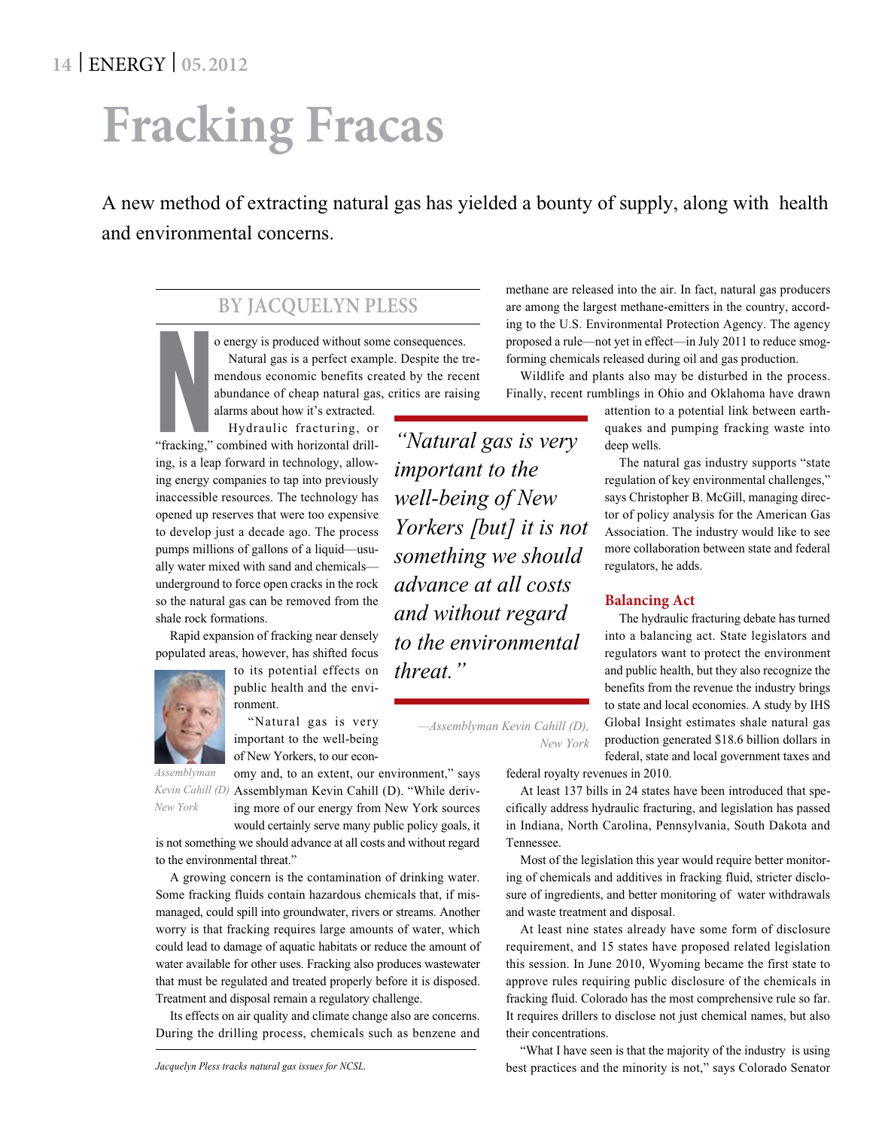## **Fracking Fracas**

A new method of extracting natural gas has yielded a bounty of supply, along with health and environmental concerns.

## **By Jacquelyn Pless**

o energy is produced without sometimes of the method without sometime method as a perfect exament of abundance of cheap natural gas alarms about how it's extracted.<br>Hydraulic fracturing, or "fracking," combined with horizo o energy is produced without some consequences. Natural gas is a perfect example. Despite the tremendous economic benefits created by the recent abundance of cheap natural gas, critics are raising

alarms about how it's extracted. Hydraulic fracturing, or

ing, is a leap forward in technology, allowing energy companies to tap into previously inaccessible resources. The technology has opened up reserves that were too expensive to develop just a decade ago. The process pumps millions of gallons of a liquid—usually water mixed with sand and chemicals underground to force open cracks in the rock so the natural gas can be removed from the shale rock formations.

Rapid expansion of fracking near densely populated areas, however, has shifted focus

> to its potential effects on public health and the environment.

"Natural gas is very important to the well-being of New Yorkers, to our econ-

*New York*

omy and, to an extent, our environment," says Kevin Cahill (D) Assemblyman Kevin Cahill (D). "While deriving more of our energy from New York sources *Assemblyman* 

would certainly serve many public policy goals, it is not something we should advance at all costs and without regard to the environmental threat."

A growing concern is the contamination of drinking water. Some fracking fluids contain hazardous chemicals that, if mismanaged, could spill into groundwater, rivers or streams. Another worry is that fracking requires large amounts of water, which could lead to damage of aquatic habitats or reduce the amount of water available for other uses. Fracking also produces wastewater that must be regulated and treated properly before it is disposed. Treatment and disposal remain a regulatory challenge.

Its effects on air quality and climate change also are concerns. During the drilling process, chemicals such as benzene and

*"Natural gas is very important to the well-being of New Yorkers [but] it is not something we should advance at all costs and without regard to the environmental threat."*

*—Assemblyman Kevin Cahill (D),* 

methane are released into the air. In fact, natural gas producers are among the largest methane-emitters in the country, according to the U.S. Environmental Protection Agency. The agency proposed a rule—not yet in effect—in July 2011 to reduce smogforming chemicals released during oil and gas production.

Wildlife and plants also may be disturbed in the process. Finally, recent rumblings in Ohio and Oklahoma have drawn

> attention to a potential link between earthquakes and pumping fracking waste into deep wells.

> The natural gas industry supports "state regulation of key environmental challenges," says Christopher B. McGill, managing director of policy analysis for the American Gas Association. The industry would like to see more collaboration between state and federal regulators, he adds.

## **Balancing Act**

The hydraulic fracturing debate has turned into a balancing act. State legislators and regulators want to protect the environment and public health, but they also recognize the benefits from the revenue the industry brings to state and local economies. A study by IHS Global Insight estimates shale natural gas production generated \$18.6 billion dollars in federal, state and local government taxes and

federal royalty revenues in 2010.

At least 137 bills in 24 states have been introduced that specifically address hydraulic fracturing, and legislation has passed in Indiana, North Carolina, Pennsylvania, South Dakota and Tennessee.

Most of the legislation this year would require better monitoring of chemicals and additives in fracking fluid, stricter disclosure of ingredients, and better monitoring of water withdrawals and waste treatment and disposal.

At least nine states already have some form of disclosure requirement, and 15 states have proposed related legislation this session. In June 2010, Wyoming became the first state to approve rules requiring public disclosure of the chemicals in fracking fluid. Colorado has the most comprehensive rule so far. It requires drillers to disclose not just chemical names, but also their concentrations.

"What I have seen is that the majority of the industry is using best practices and the minority is not," says Colorado Senator



*New York*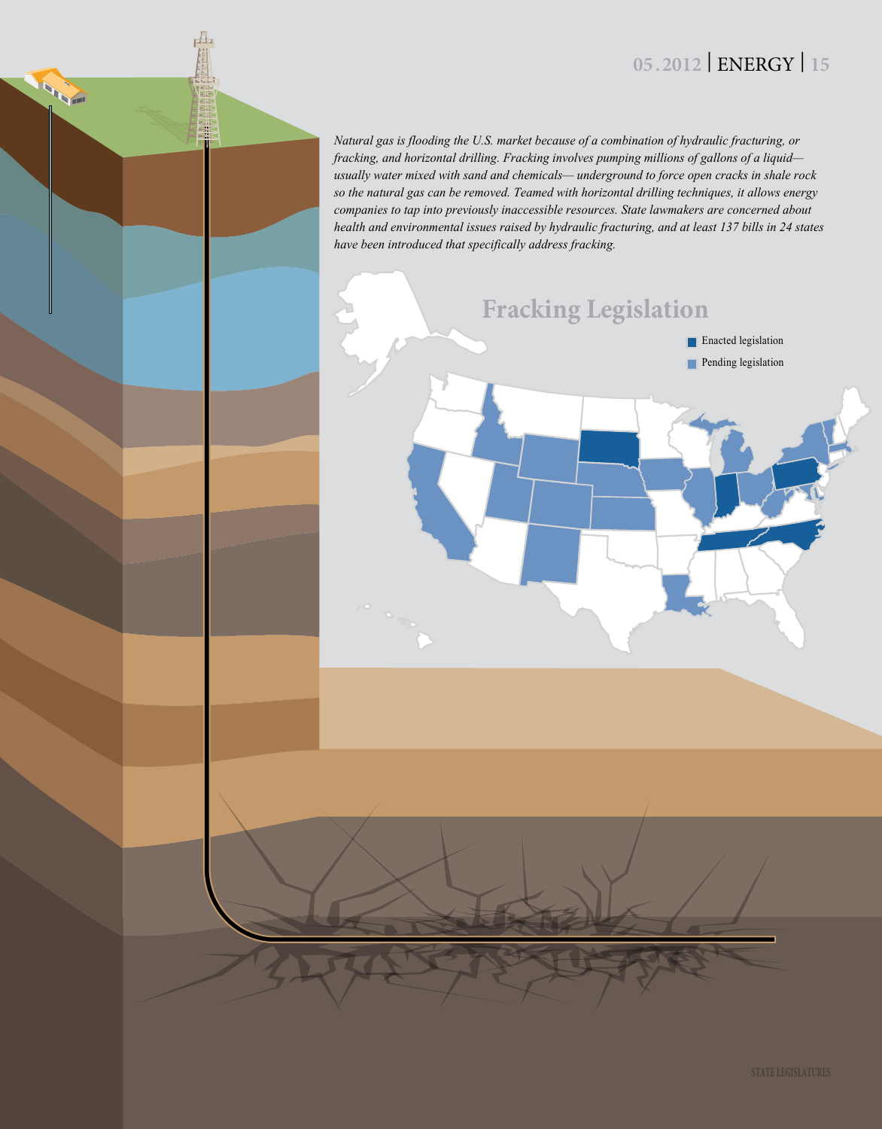## **05 .2012** | ENERGY | **15**

*Natural gas is flooding the U.S. market because of a combination of hydraulic fracturing, or fracking, and horizontal drilling. Fracking involves pumping millions of gallons of a liquid usually water mixed with sand and chemicals— underground to force open cracks in shale rock so the natural gas can be removed. Teamed with horizontal drilling techniques, it allows energy companies to tap into previously inaccessible resources. State lawmakers are concerned about health and environmental issues raised by hydraulic fracturing, and at least 137 bills in 24 states have been introduced that specifically address fracking.*

 $\overline{\mathbf{A}}$ 

**ANY**